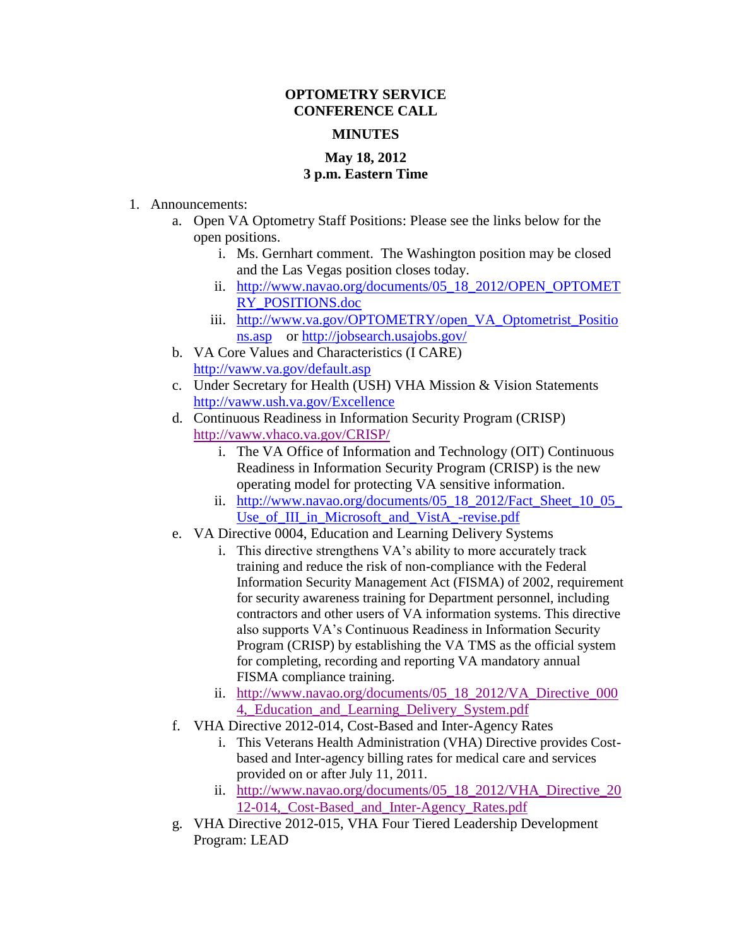## **OPTOMETRY SERVICE CONFERENCE CALL**

## **MINUTES**

## **May 18, 2012 3 p.m. Eastern Time**

- 1. Announcements:
	- a. Open VA Optometry Staff Positions: Please see the links below for the open positions.
		- i. Ms. Gernhart comment. The Washington position may be closed and the Las Vegas position closes today.
		- ii. [http://www.navao.org/documents/05\\_18\\_2012/OPEN\\_OPTOMET](http://www.navao.org/documents/05_18_2012/OPEN_OPTOMETRY_POSITIONS.doc) [RY\\_POSITIONS.doc](http://www.navao.org/documents/05_18_2012/OPEN_OPTOMETRY_POSITIONS.doc)
		- iii. [http://www.va.gov/OPTOMETRY/open\\_VA\\_Optometrist\\_Positio](http://www.va.gov/OPTOMETRY/open_VA_Optometrist_Positions.asp) [ns.asp](http://www.va.gov/OPTOMETRY/open_VA_Optometrist_Positions.asp) or<http://jobsearch.usajobs.gov/>
	- b. VA Core Values and Characteristics (I CARE) <http://vaww.va.gov/default.asp>
	- c. Under Secretary for Health (USH) VHA Mission & Vision Statements <http://vaww.ush.va.gov/Excellence>
	- d. Continuous Readiness in Information Security Program (CRISP) <http://vaww.vhaco.va.gov/CRISP/>
		- i. The VA Office of Information and Technology (OIT) Continuous Readiness in Information Security Program (CRISP) is the new operating model for protecting VA sensitive information.
		- ii. [http://www.navao.org/documents/05\\_18\\_2012/Fact\\_Sheet\\_10\\_05\\_](http://www.navao.org/documents/05_18_2012/Fact_Sheet_10_05_Use_of_III_in_Microsoft_and_VistA_-revise.pdf) [Use\\_of\\_III\\_in\\_Microsoft\\_and\\_VistA\\_-revise.pdf](http://www.navao.org/documents/05_18_2012/Fact_Sheet_10_05_Use_of_III_in_Microsoft_and_VistA_-revise.pdf)
	- e. VA Directive 0004, Education and Learning Delivery Systems
		- i. This directive strengthens VA's ability to more accurately track training and reduce the risk of non-compliance with the Federal Information Security Management Act (FISMA) of 2002, requirement for security awareness training for Department personnel, including contractors and other users of VA information systems. This directive also supports VA's Continuous Readiness in Information Security Program (CRISP) by establishing the VA TMS as the official system for completing, recording and reporting VA mandatory annual FISMA compliance training.
		- ii. [http://www.navao.org/documents/05\\_18\\_2012/VA\\_Directive\\_000](http://www.navao.org/documents/05_18_2012/VA_Directive_0004,_Education_and_Learning_Delivery_System.pdf) [4,\\_Education\\_and\\_Learning\\_Delivery\\_System.pdf](http://www.navao.org/documents/05_18_2012/VA_Directive_0004,_Education_and_Learning_Delivery_System.pdf)
	- f. VHA Directive 2012-014, Cost-Based and Inter-Agency Rates
		- i. This Veterans Health Administration (VHA) Directive provides Costbased and Inter-agency billing rates for medical care and services provided on or after July 11, 2011.
		- ii. [http://www.navao.org/documents/05\\_18\\_2012/VHA\\_Directive\\_20](http://www.navao.org/documents/05_18_2012/VHA_Directive_2012-014,_Cost-Based_and_Inter-Agency_Rates.pdf) [12-014,\\_Cost-Based\\_and\\_Inter-Agency\\_Rates.pdf](http://www.navao.org/documents/05_18_2012/VHA_Directive_2012-014,_Cost-Based_and_Inter-Agency_Rates.pdf)
	- g. VHA Directive 2012-015, VHA Four Tiered Leadership Development Program: LEAD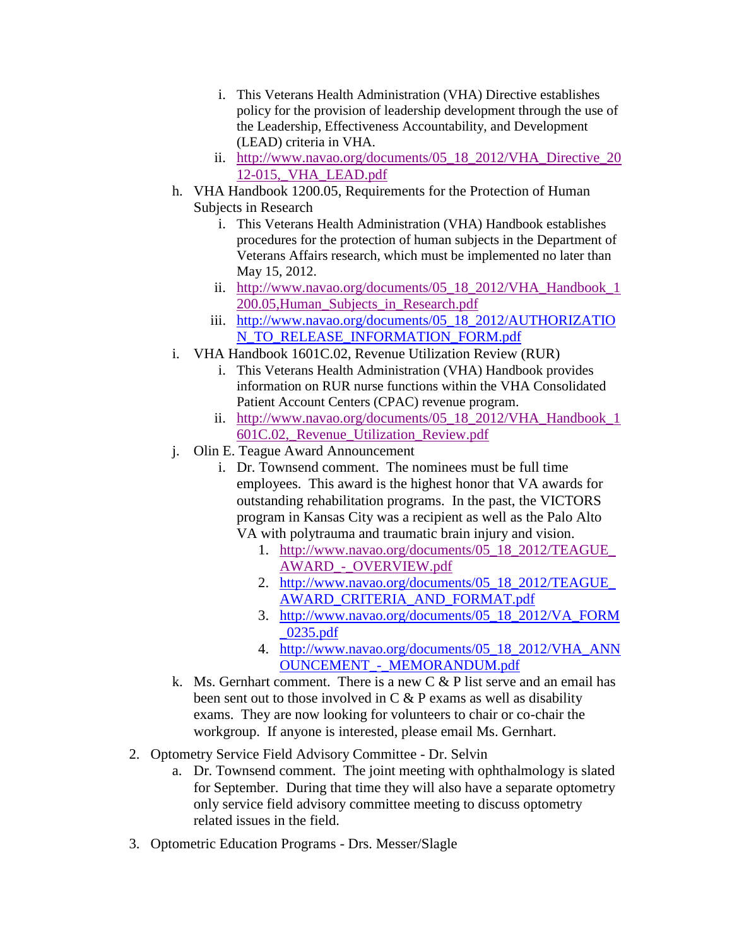- i. This Veterans Health Administration (VHA) Directive establishes policy for the provision of leadership development through the use of the Leadership, Effectiveness Accountability, and Development (LEAD) criteria in VHA.
- ii. [http://www.navao.org/documents/05\\_18\\_2012/VHA\\_Directive\\_20](http://www.navao.org/documents/05_18_2012/VHA_Directive_2012-015,_VHA_LEAD.pdf) [12-015,\\_VHA\\_LEAD.pdf](http://www.navao.org/documents/05_18_2012/VHA_Directive_2012-015,_VHA_LEAD.pdf)
- h. VHA Handbook 1200.05, Requirements for the Protection of Human Subjects in Research
	- i. This Veterans Health Administration (VHA) Handbook establishes procedures for the protection of human subjects in the Department of Veterans Affairs research, which must be implemented no later than May 15, 2012.
	- ii. [http://www.navao.org/documents/05\\_18\\_2012/VHA\\_Handbook\\_1](http://www.navao.org/documents/05_18_2012/VHA_Handbook_1200.05,Human_Subjects_in_Research.pdf) [200.05,Human\\_Subjects\\_in\\_Research.pdf](http://www.navao.org/documents/05_18_2012/VHA_Handbook_1200.05,Human_Subjects_in_Research.pdf)
	- iii. [http://www.navao.org/documents/05\\_18\\_2012/AUTHORIZATIO](http://www.navao.org/documents/05_18_2012/AUTHORIZATION_TO_RELEASE_INFORMATION_FORM.pdf) [N\\_TO\\_RELEASE\\_INFORMATION\\_FORM.pdf](http://www.navao.org/documents/05_18_2012/AUTHORIZATION_TO_RELEASE_INFORMATION_FORM.pdf)
- i. VHA Handbook 1601C.02, Revenue Utilization Review (RUR)
	- i. This Veterans Health Administration (VHA) Handbook provides information on RUR nurse functions within the VHA Consolidated Patient Account Centers (CPAC) revenue program.
	- ii. [http://www.navao.org/documents/05\\_18\\_2012/VHA\\_Handbook\\_1](http://www.navao.org/documents/05_18_2012/VHA_Handbook_1601C.02,_Revenue_Utilization_Review.pdf) [601C.02,\\_Revenue\\_Utilization\\_Review.pdf](http://www.navao.org/documents/05_18_2012/VHA_Handbook_1601C.02,_Revenue_Utilization_Review.pdf)
- j. Olin E. Teague Award Announcement
	- i. Dr. Townsend comment. The nominees must be full time employees. This award is the highest honor that VA awards for outstanding rehabilitation programs. In the past, the VICTORS program in Kansas City was a recipient as well as the Palo Alto VA with polytrauma and traumatic brain injury and vision.
		- 1. [http://www.navao.org/documents/05\\_18\\_2012/TEAGUE\\_](http://www.navao.org/documents/05_18_2012/TEAGUE_AWARD_-_OVERVIEW.pdf) [AWARD\\_-\\_OVERVIEW.pdf](http://www.navao.org/documents/05_18_2012/TEAGUE_AWARD_-_OVERVIEW.pdf)
		- 2. [http://www.navao.org/documents/05\\_18\\_2012/TEAGUE\\_](http://www.navao.org/documents/05_18_2012/TEAGUE_AWARD_CRITERIA_AND_FORMAT.pdf) [AWARD\\_CRITERIA\\_AND\\_FORMAT.pdf](http://www.navao.org/documents/05_18_2012/TEAGUE_AWARD_CRITERIA_AND_FORMAT.pdf)
		- 3. [http://www.navao.org/documents/05\\_18\\_2012/VA\\_FORM](http://www.navao.org/documents/05_18_2012/VA_FORM_0235.pdf) [\\_0235.pdf](http://www.navao.org/documents/05_18_2012/VA_FORM_0235.pdf)
		- 4. [http://www.navao.org/documents/05\\_18\\_2012/VHA\\_ANN](http://www.navao.org/documents/05_18_2012/VHA_ANNOUNCEMENT_-_MEMORANDUM.pdf) [OUNCEMENT\\_-\\_MEMORANDUM.pdf](http://www.navao.org/documents/05_18_2012/VHA_ANNOUNCEMENT_-_MEMORANDUM.pdf)
- k. Ms. Gernhart comment. There is a new  $C \& P$  list serve and an email has been sent out to those involved in  $C \& P$  exams as well as disability exams. They are now looking for volunteers to chair or co-chair the workgroup. If anyone is interested, please email Ms. Gernhart.
- 2. Optometry Service Field Advisory Committee Dr. Selvin
	- a. Dr. Townsend comment. The joint meeting with ophthalmology is slated for September. During that time they will also have a separate optometry only service field advisory committee meeting to discuss optometry related issues in the field.
- 3. Optometric Education Programs Drs. Messer/Slagle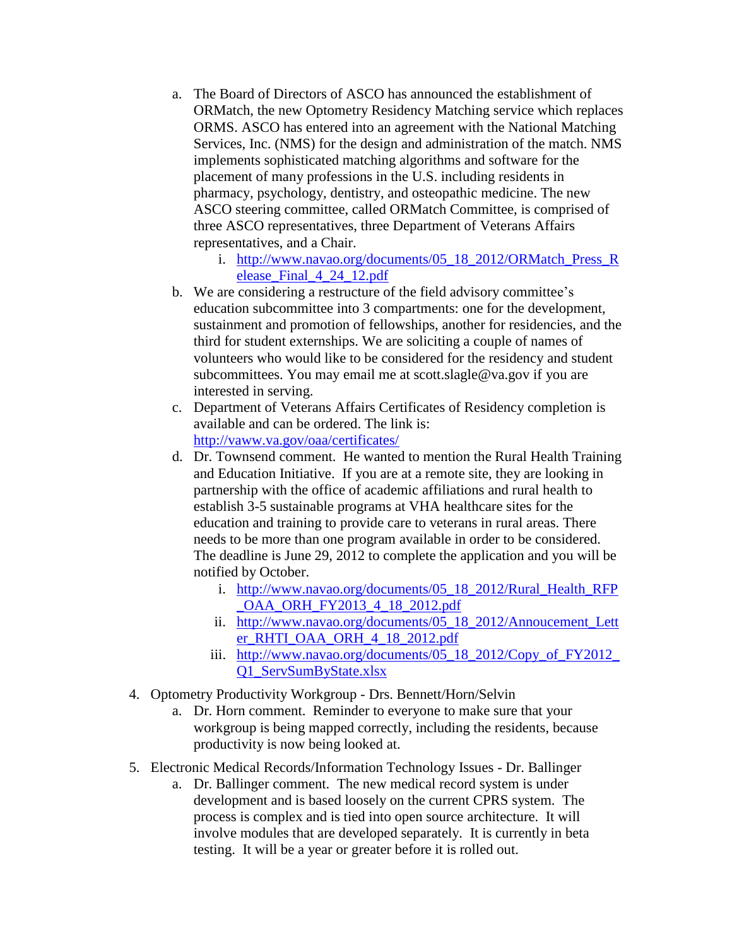- a. The Board of Directors of ASCO has announced the establishment of ORMatch, the new Optometry Residency Matching service which replaces ORMS. ASCO has entered into an agreement with the National Matching Services, Inc. (NMS) for the design and administration of the match. NMS implements sophisticated matching algorithms and software for the placement of many professions in the U.S. including residents in pharmacy, psychology, dentistry, and osteopathic medicine. The new ASCO steering committee, called ORMatch Committee, is comprised of three ASCO representatives, three Department of Veterans Affairs representatives, and a Chair.
	- i. [http://www.navao.org/documents/05\\_18\\_2012/ORMatch\\_Press\\_R](http://www.navao.org/documents/05_18_2012/ORMatch_Press_Release_Final_4_24_12.pdf) [elease\\_Final\\_4\\_24\\_12.pdf](http://www.navao.org/documents/05_18_2012/ORMatch_Press_Release_Final_4_24_12.pdf)
- b. We are considering a restructure of the field advisory committee's education subcommittee into 3 compartments: one for the development, sustainment and promotion of fellowships, another for residencies, and the third for student externships. We are soliciting a couple of names of volunteers who would like to be considered for the residency and student subcommittees. You may email me at scott.slagle@va.gov if you are interested in serving.
- c. Department of Veterans Affairs Certificates of Residency completion is available and can be ordered. The link is: <http://vaww.va.gov/oaa/certificates/>
- d. Dr. Townsend comment. He wanted to mention the Rural Health Training and Education Initiative. If you are at a remote site, they are looking in partnership with the office of academic affiliations and rural health to establish 3-5 sustainable programs at VHA healthcare sites for the education and training to provide care to veterans in rural areas. There needs to be more than one program available in order to be considered. The deadline is June 29, 2012 to complete the application and you will be notified by October.
	- i. [http://www.navao.org/documents/05\\_18\\_2012/Rural\\_Health\\_RFP](http://www.navao.org/documents/05_18_2012/Rural_Health_RFP_OAA_ORH_FY2013_4_18_2012.pdf) [\\_OAA\\_ORH\\_FY2013\\_4\\_18\\_2012.pdf](http://www.navao.org/documents/05_18_2012/Rural_Health_RFP_OAA_ORH_FY2013_4_18_2012.pdf)
	- ii. [http://www.navao.org/documents/05\\_18\\_2012/Annoucement\\_Lett](http://www.navao.org/documents/05_18_2012/Annoucement_Letter_RHTI_OAA_ORH_4_18_2012.pdf) [er\\_RHTI\\_OAA\\_ORH\\_4\\_18\\_2012.pdf](http://www.navao.org/documents/05_18_2012/Annoucement_Letter_RHTI_OAA_ORH_4_18_2012.pdf)
	- iii. [http://www.navao.org/documents/05\\_18\\_2012/Copy\\_of\\_FY2012\\_](http://www.navao.org/documents/05_18_2012/Copy_of_FY2012_Q1_ServSumByState.xlsx) [Q1\\_ServSumByState.xlsx](http://www.navao.org/documents/05_18_2012/Copy_of_FY2012_Q1_ServSumByState.xlsx)
- 4. Optometry Productivity Workgroup Drs. Bennett/Horn/Selvin
	- a. Dr. Horn comment. Reminder to everyone to make sure that your workgroup is being mapped correctly, including the residents, because productivity is now being looked at.
- 5. Electronic Medical Records/Information Technology Issues Dr. Ballinger
	- a. Dr. Ballinger comment. The new medical record system is under development and is based loosely on the current CPRS system. The process is complex and is tied into open source architecture. It will involve modules that are developed separately. It is currently in beta testing. It will be a year or greater before it is rolled out.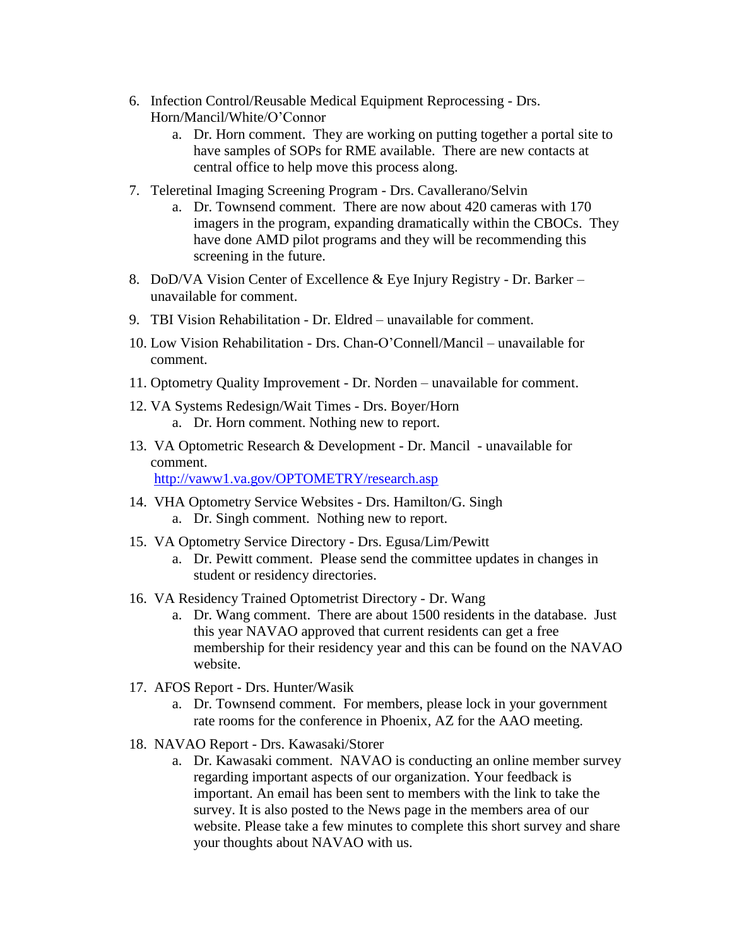- 6. Infection Control/Reusable Medical Equipment Reprocessing Drs. Horn/Mancil/White/O'Connor
	- a. Dr. Horn comment. They are working on putting together a portal site to have samples of SOPs for RME available. There are new contacts at central office to help move this process along.
- 7. Teleretinal Imaging Screening Program Drs. Cavallerano/Selvin
	- a. Dr. Townsend comment. There are now about 420 cameras with 170 imagers in the program, expanding dramatically within the CBOCs. They have done AMD pilot programs and they will be recommending this screening in the future.
- 8. DoD/VA Vision Center of Excellence & Eye Injury Registry Dr. Barker unavailable for comment.
- 9. TBI Vision Rehabilitation Dr. Eldred unavailable for comment.
- 10. Low Vision Rehabilitation Drs. Chan-O'Connell/Mancil unavailable for comment.
- 11. Optometry Quality Improvement Dr. Norden unavailable for comment.
- 12. VA Systems Redesign/Wait Times Drs. Boyer/Horn a. Dr. Horn comment. Nothing new to report.
- 13. VA Optometric Research & Development Dr. Mancil unavailable for comment.

<http://vaww1.va.gov/OPTOMETRY/research.asp>

- 14. VHA Optometry Service Websites Drs. Hamilton/G. Singh a. Dr. Singh comment. Nothing new to report.
- 15. VA Optometry Service Directory Drs. Egusa/Lim/Pewitt
	- a. Dr. Pewitt comment. Please send the committee updates in changes in student or residency directories.
- 16. VA Residency Trained Optometrist Directory Dr. Wang
	- a. Dr. Wang comment. There are about 1500 residents in the database. Just this year NAVAO approved that current residents can get a free membership for their residency year and this can be found on the NAVAO website.
- 17. AFOS Report Drs. Hunter/Wasik
	- a. Dr. Townsend comment. For members, please lock in your government rate rooms for the conference in Phoenix, AZ for the AAO meeting.
- 18. NAVAO Report Drs. Kawasaki/Storer
	- a. Dr. Kawasaki comment. NAVAO is conducting an online member survey regarding important aspects of our organization. Your feedback is important. An email has been sent to members with the link to take the survey. It is also posted to the News page in the members area of our website. Please take a few minutes to complete this short survey and share your thoughts about NAVAO with us.